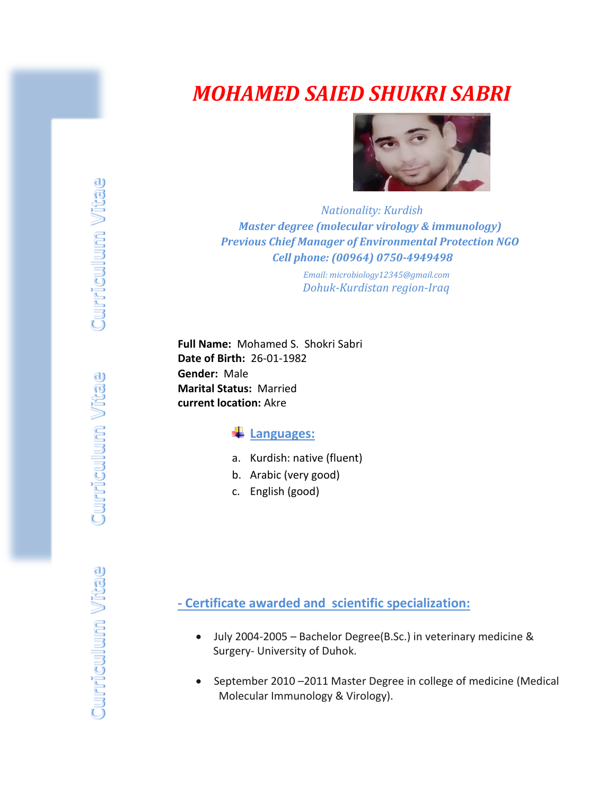# *MOHAMED SAIED SHUKRI SABRI*



 *Nationality: Kurdish Master degree (molecular virology & immunology) Previous Chief Manager of Environmental Protection NGO Cell phone: (00964) 0750-4949498*

> *Email: microbiology12345@gmail.com*  *Dohuk-Kurdistan region-Iraq*

**Full Name:** Mohamed S. Shokri Sabri **Date of Birth:** 26-01-1982 **Gender:** Male **Marital Status:** Married **current location:** Akre

## **Languages:**

- a. Kurdish: native (fluent)
- b. Arabic (very good)
- c. English (good)

**- Certificate awarded and scientific specialization:**

- July 2004-2005 Bachelor Degree(B.Sc.) in veterinary medicine & Surgery- University of Duhok.
- September 2010 –2011 Master Degree in college of medicine (Medical Molecular Immunology & Virology).

**Curriculum Vitae**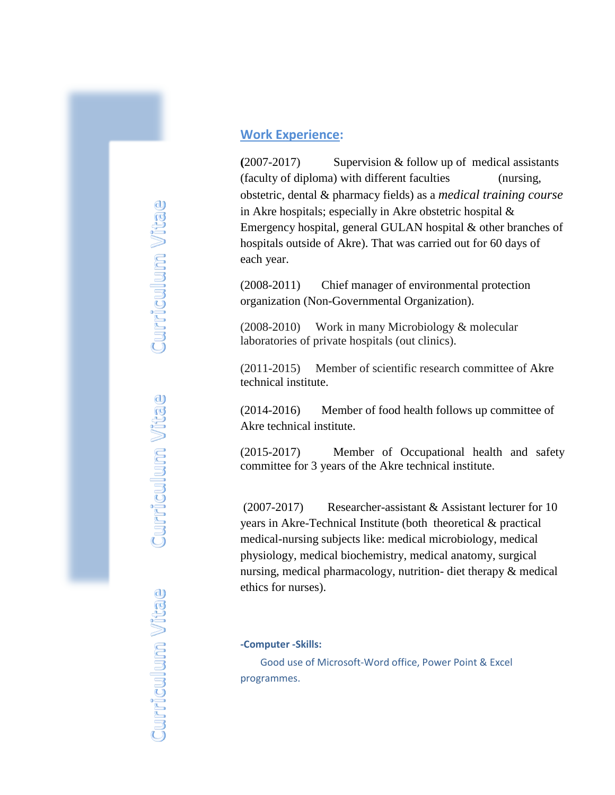### **Work Experience:**

**(**2007-2017) Supervision & follow up of medical assistants (faculty of diploma) with different faculties (nursing, obstetric, dental & pharmacy fields) as a *medical training course* in Akre hospitals; especially in Akre obstetric hospital & Emergency hospital, general GULAN hospital & other branches of hospitals outside of Akre). That was carried out for 60 days of each year.

(2008-2011) Chief manager of environmental protection organization (Non-Governmental Organization).

(2008-2010) Work in many Microbiology & molecular laboratories of private hospitals (out clinics).

(2011-2015) Member of scientific research committee of Akre technical institute.

(2014-2016) Member of food health follows up committee of Akre technical institute.

(2015-2017) Member of Occupational health and safety committee for 3 years of the Akre technical institute.

(2007-2017) Researcher-assistant & Assistant lecturer for 10 years in Akre-Technical Institute (both theoretical & practical medical-nursing subjects like: medical microbiology, medical physiology, medical biochemistry, medical anatomy, surgical nursing, medical pharmacology, nutrition- diet therapy & medical ethics for nurses).

#### **-Computer -Skills:**

 Good use of Microsoft-Word office, Power Point & Excel programmes.

**Curriculum Vitae Curriculum Vitae** Curriculum Vitae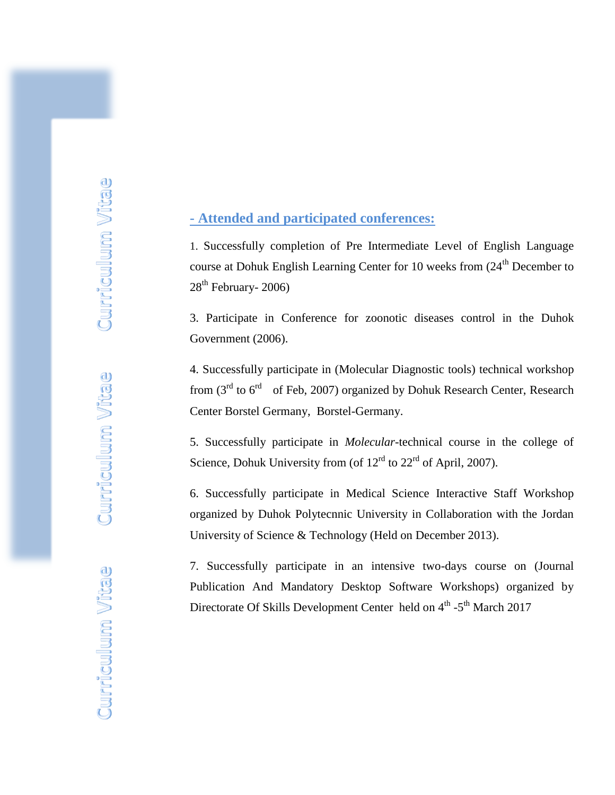## **- Attended and participated conferences:**

1. Successfully completion of Pre Intermediate Level of English Language course at Dohuk English Learning Center for 10 weeks from  $(24<sup>th</sup>$  December to  $28<sup>th</sup>$  February- 2006)

3. Participate in Conference for zoonotic diseases control in the Duhok Government (2006).

4. Successfully participate in (Molecular Diagnostic tools) technical workshop from  $(3<sup>rd</sup>$  to  $6<sup>rd</sup>$  of Feb, 2007) organized by Dohuk Research Center, Research Center Borstel Germany, Borstel-Germany.

5. Successfully participate in *Molecular*-technical course in the college of Science, Dohuk University from (of  $12<sup>rd</sup>$  to  $22<sup>rd</sup>$  of April, 2007).

6. Successfully participate in Medical Science Interactive Staff Workshop organized by Duhok Polytecnnic University in Collaboration with the Jordan University of Science & Technology (Held on December 2013).

7. Successfully participate in an intensive two-days course on (Journal Publication And Mandatory Desktop Software Workshops) organized by Directorate Of Skills Development Center held on 4<sup>th</sup> -5<sup>th</sup> March 2017